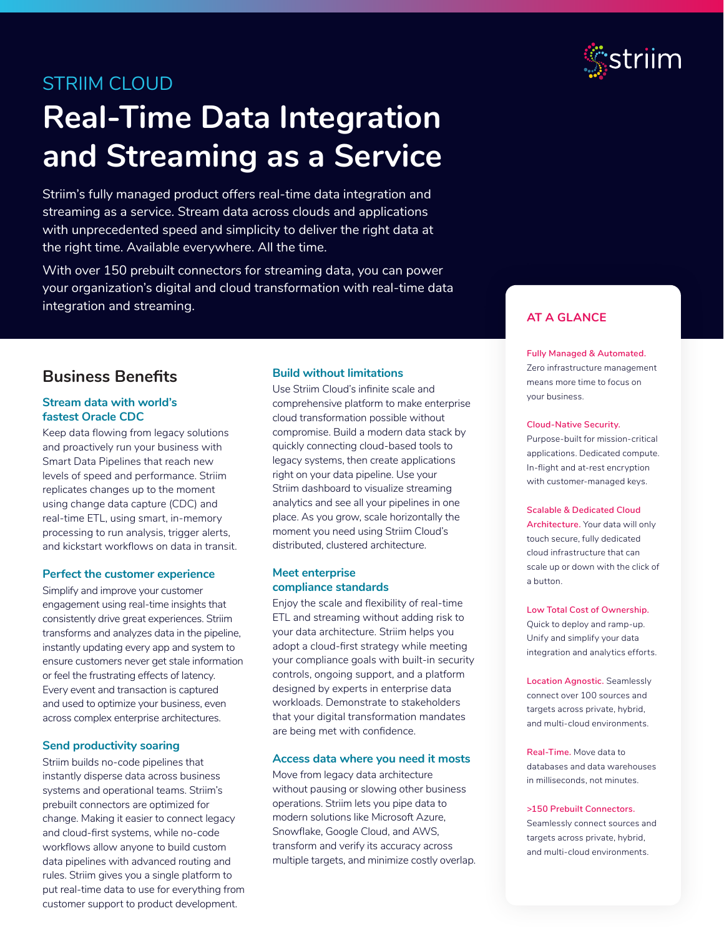

# STRIIM CLOUD

# **Real-Time Data Integration and Streaming as a Service**

Striim's fully managed product offers real-time data integration and streaming as a service. Stream data across clouds and applications with unprecedented speed and simplicity to deliver the right data at the right time. Available everywhere. All the time.

With over 150 prebuilt connectors for streaming data, you can power your organization's digital and cloud transformation with real-time data integration and streaming.

## **Business Benefits**

#### **Stream data with world's fastest Oracle CDC**

Keep data flowing from legacy solutions and proactively run your business with Smart Data Pipelines that reach new levels of speed and performance. Striim replicates changes up to the moment using change data capture (CDC) and real-time ETL, using smart, in-memory processing to run analysis, trigger alerts, and kickstart workflows on data in transit.

#### **Perfect the customer experience**

Simplify and improve your customer engagement using real-time insights that consistently drive great experiences. Striim transforms and analyzes data in the pipeline, instantly updating every app and system to ensure customers never get stale information or feel the frustrating effects of latency. Every event and transaction is captured and used to optimize your business, even across complex enterprise architectures.

#### **Send productivity soaring**

Striim builds no-code pipelines that instantly disperse data across business systems and operational teams. Striim's prebuilt connectors are optimized for change. Making it easier to connect legacy and cloud-first systems, while no-code workflows allow anyone to build custom data pipelines with advanced routing and rules. Striim gives you a single platform to put real-time data to use for everything from customer support to product development.

#### **Build without limitations**

Use Striim Cloud's infinite scale and comprehensive platform to make enterprise cloud transformation possible without compromise. Build a modern data stack by quickly connecting cloud-based tools to legacy systems, then create applications right on your data pipeline. Use your Striim dashboard to visualize streaming analytics and see all your pipelines in one place. As you grow, scale horizontally the moment you need using Striim Cloud's distributed, clustered architecture.

#### **Meet enterprise compliance standards**

Enjoy the scale and flexibility of real-time ETL and streaming without adding risk to your data architecture. Striim helps you adopt a cloud-first strategy while meeting your compliance goals with built-in security controls, ongoing support, and a platform designed by experts in enterprise data workloads. Demonstrate to stakeholders that your digital transformation mandates are being met with confidence.

#### **Access data where you need it mosts**

Move from legacy data architecture without pausing or slowing other business operations. Striim lets you pipe data to modern solutions like Microsoft Azure, Snowflake, Google Cloud, and AWS, transform and verify its accuracy across multiple targets, and minimize costly overlap.

### **AT A GLANCE**

**Fully Managed & Automated.** Zero infrastructure management means more time to focus on your business.

#### **Cloud-Native Security.**

Purpose-built for mission-critical applications. Dedicated compute. In-flight and at-rest encryption with customer-managed keys.

#### **Scalable & Dedicated Cloud**

**Architecture.** Your data will only touch secure, fully dedicated cloud infrastructure that can scale up or down with the click of a button.

**Low Total Cost of Ownership.**  Quick to deploy and ramp-up. Unify and simplify your data integration and analytics efforts.

**Location Agnostic.** Seamlessly connect over 100 sources and targets across private, hybrid, and multi-cloud environments.

**Real-Time.** Move data to databases and data warehouses in milliseconds, not minutes.

#### **>150 Prebuilt Connectors.**

Seamlessly connect sources and targets across private, hybrid, and multi-cloud environments.